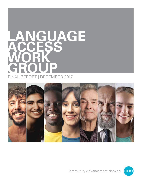# **LANGUAGE ACCESS WORK GROUP** FINAL REPORT | DECEMBER 2017





Community Advancement Network CON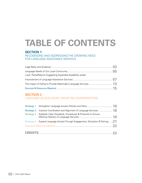# **TABLE OF CONTENTS**

#### **SECTION 1** -

RECOGNIZING AND ADDRESSING THE GROWING NEED FOR LANGUAGE ASSISTANCE SERVICES

| Local Plans/Reports Suggesting Expanded Availability and/or |  |
|-------------------------------------------------------------|--|
|                                                             |  |
|                                                             |  |
|                                                             |  |

### **SECTION 2** –

#### LANGUAGE ACCESS WORK GROUP RECOMMENDATIONS

| <b>Strategy 2</b> |                                                                               |  |
|-------------------|-------------------------------------------------------------------------------|--|
|                   | Strategy 3 Establish Clear Standards, Procedures & Protocols to Ensure        |  |
|                   | Strategy 4 Expand Language Access Through Engagement, Education & Training 21 |  |
|                   |                                                                               |  |
|                   |                                                                               |  |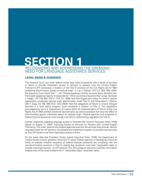## **SECTION 1** RECOGNIZING AND ADDRESSING THE GROWING NEED FOR LANGUAGE ASSISTANCE SERVICES

#### **LEGAL BASIS & GUIDANCE**

The Supreme Court and other federal courts have ruled consistently that a denial of services or failure to provide meaningful access to services to persons who are Limited English Proficient (LEP) constitutes a violation of the Title VI provision of the Civil Rights Act of 1964 prohibiting discrimination based on national origin. In Lau v. Nichols, 414 U.S. 563, 569 (1974), the Supreme Court found that "…the Chinese-speaking minority received fewer benefits than the English-speaking majority of respondents." Other courts have issued similar rulings. Sandoval v. Hagan, 197 F.3d 484, 510-11 (11th Cir. 1999) held that English-only policy for driver's license applications constitutes national origin discrimination under Title VI, and Almendares v. Palmer, 284 F. Supp. 2d 799, 808 (N.D. Ohio 2003) held that allegations of failure to ensure bilingual services in a food stamp program could constitute a violation of Title VI. The regulations promulgated by the U.S. Department of Justice (DOJ) for implementation of Title VI of the Civil Rights Act of 1964 prohibit intentional discrimination as well as practices that have the effect of discriminating against individuals based on national origin. Federal agencies and recipients of federal financial assistance must comply with DOJ's implementing regulations for Title VI.

Another milestone regarding language access is President Bill Clinton's Executive Order 13166 signed on August 11, 2000, Improving Access to Services for Persons with Limited English Proficiency. This order required that Federal agencies examine the services they provide, identify language needs for LEP persons, and develop and implement a system to provide those services so that LEP persons can have meaningful access to them.

On the same date that President Clinton signed Executive Order 13166, the Department of Justice issued a policy guidance document to assist Federal agencies in developing criteria by which to evaluate whether recipients of Federal financial assistance are complying with the non-discrimination provision in Title VI, stating that recipients must take "reasonable steps to provide meaningful access" to LEP persons. This DOJ guidance document outlines a four-factor analysis that will be used to determine if "reasonable steps" have been taken.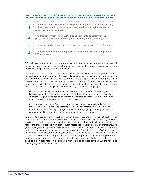#### **THE FOUR FACTORS TO BE CONSIDERED BY FEDERAL AGENCIES AND RECIPIENTS OF FEDERAL FINANCIAL ASSISTANCE IN ASSESSING LANGUAGE ACCESS NEEDS ARE:**

| The number and proportion of LEP persons eligible to be served or likely<br>to be encountered by the programs and services through the agency<br>receiving federal funding. |
|-----------------------------------------------------------------------------------------------------------------------------------------------------------------------------|
| The frequency with which LEP persons come into contact with the<br>programs and services of the agency receiving federal funding.                                           |
| The nature and importance of the programs and services to LEP persons.                                                                                                      |
| The resources available to agency staff and the overall costs to provide<br>LEP assistance.                                                                                 |

DOJ will determine whether or not the steps that have been taken by the agency or recipient of Federal financial assistance to address the language needs of LEP persons they serve constitute "reasonable steps" based on these four factors.

In January 2007, the concept of "safe harbor" was introduced in guidance to recipients of federal financial assistance outlining ways to avoid national origin discrimination affecting people who are limited English proficient that was issued by the U.S. Department of Housing and Urban Development and that has become a standard in terms of determining when written translation of "vital documents"is required. Entities of federal financial assistance may find a "safe harbor" from translating vital documents if they take the following steps:

(a) The HUD recipient provides written translations of vital documents for each eligible LEP language group that constitutes 5 percent or 1,000, whichever is less, of the population of persons eligible to be served or likely to be affected or encountered. Translation of other documents, if needed, can be provided orally; or

(b) If there are fewer than 50 persons in a language group that reaches the 5 percent trigger in (a), the recipient does not translate vital written materials but instead provides written notice in the primary language of the LEP language group of the right to receive competent oral interpretation of those written materials, free of cost.

Two important things to note about safe harbor is that (i) this standard does not apply to oral translation and that this standard applies only to "vital documents." For persons seeking to access services from entities receiving federal financial assistance, those federally funded entities are required to provide oral translation upon request, regardless of the representation of that language group in the general population. Regarding the issue of "vital documents," those documents are defined as the documents that are necessary for providing "meaningful access." A 2011 guidance document from the Department of Justice defines "vital documents" as including, but not being limited to "…consent and complaint forms; intake and application forms with the potential for important consequences; written notices of rights; notices of denials, losses, or decreases in benefits or services; notice of disciplinary action; signs and notices advising LEP individuals of free language assistance services."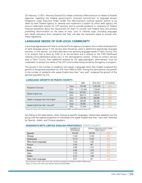On February 17, 2011, Attorney General Eric Holder authored a Memorandum to Heads of Federal Agencies regarding the Federal government's renewed commitment to language access obligations under Executive Order 13166. This Memorandum outlined specific actions to be taken by each Federal agency to: develop and implement a system by which each agency will ensure meaningful access for LEP persons; and to provide guidance to recipients of Federal financial assistance about the requirement for them to comply with Federal laws and policies prohibiting discrimination on the basis of race, color or national origin (including language) and obtain assurance from recipients that they will take the necessary steps to comply with these regulations.

#### **LANGUAGE NEEDS OF OUR LOCAL COMMUNITY**

In any language assessment that is conducted for an agency or program, the number and proportion of each language group in the service area should be used to determine appropriate language services. In this section, we share data about the growing language needs in Travis County. This is an analysis that is done by CAN on an annual basis and is shared on the CAN Dashboard website (www.dashboard.canatx.org ) in the demographics section. Unless an entity's service area is Travis County, then additional analysis by the agency/program administrator must be undertaken to assess the needs of the LEP communities being served by the agency or program.

The growth in the number of residents who speak a language other than English outpaced the growth of the general population by 15% from 2000 to 2015. During this same period, the growth in the number of residents who speak English less than "very well" outpaced the growth of the general population by 3%.

|                                      |               | 2000      | 2010-2015 | % CHANGE |
|--------------------------------------|---------------|-----------|-----------|----------|
| Population 5 and over                | <b>Travis</b> | 753.786   | 1,043,280 | 38%      |
|                                      | MSA           | 1,157,494 | 1,759,007 | 52%      |
|                                      | <b>Travis</b> | 537,622   | 712,414   | 33%      |
| Speaks English only                  | <b>MSA</b>    | 859.214   | 1,265,247 | 47%      |
|                                      | <b>Travis</b> | 216.164   | 330,866   | 53%      |
| Speaks a language other than English | <b>MSA</b>    | 298,280   | 493,760   | 66%      |
|                                      | <b>Travis</b> | 94.350    | 132,708   | 41%      |
| Speaks English less than "very well" | <b>MSA</b>    | 121,849   | 185,607   | 52%      |

#### **LANGUAGE GROWTH IN TRAVIS COUNTY:**

Source: U.S. Census, 2011-2015 5-Year American Community Survey, B16001 and 2000 Decennial Census, SF3

According to the table below, when looking at specific languages, Vietnamese speakers are the group with the highest proportion of individuals who speak English less than "very well", followed by Spanish, Arabic, and Chinese speakers.

#### **RESIDENTS WITH LIMITED ENGLISH PROFICIENCY,** TRAVIS COUNTY

|                              | NUMBER OF<br><b>SPEAKERS</b> | <b>SPEAK ENGLISH LESS THAN</b><br>"VERY WELL" |     |
|------------------------------|------------------------------|-----------------------------------------------|-----|
| Spanish                      | 253,545                      | 109,030                                       | 43% |
| Chinese                      | 11.501                       | 4.150                                         | 36% |
| Vietnamese                   | 10,772                       | 6,253                                         | 58% |
| <b>Other Asian Languages</b> | 7,335                        | 1,262                                         | 17% |
| French                       | 5,342                        | 867                                           | 16% |
| Hindi                        | 4,583                        | 1,013                                         | 22% |
| Korean                       | 4,503                        | 1,575                                         | 35% |
| Urdu                         | 3,323                        | 1,023                                         | 31% |
| Arabic                       | 3,257                        | 1,346                                         | 41% |
| Other Indic Languages        | 3,071                        | 441                                           | 14% |

Note: Estimates for Arabic, Hindi, French, Urdu, and African Languages are unreliable at the 90% confidence level.

Source: U.S. Census, 2011-2015 5-Year American Community Survey, B16001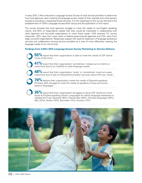In early 2015, CAN conducted a Language Access Survey of local service providers to determine how local agencies were meeting the language access needs of their clientele and what barriers existed to providing or expanding those services. It is the responses to this survey that led to the establishment of CAN's Language Access Work Group and the publication of this report.

The survey showed that local agencies struggle to meet the needs of non-English speaking clients, and 93% of respondents replied that they would be interested in collaborating with other agencies and non-profit organizations to meet these needs. CAN received 121 survey responses. 43% were from local, state or federal governmental agencies and 23% were from large non-profit organizations. Responses support the need for expansion of language assistance services and collaboration among service providers as a way of more effectively meeting the language needs of our community.

#### **Findings from CAN's 2015 Language Access Survey Pertaining to Service Delivery:**

**55%**report that their organization is able to meet the needs of LEP clients 'most of the time'; 



**41%** report that their organization 'sometimes' misses out on clients or customers due to an inability to meet language needs;

**48%**report that their organization 'rarely' or 'sometimes' must turn away customers due to lack of interpreter/translator services; about 47% say 'never';



**70%**believe their organization meets the needs of Spanish-speakers. Of these, 65% struggle to meet the needs of speakers of less-commonlyspoken languages;

**35%** report that their organization struggles to serve LEP clients at a level equal to English-speaking clients. Languages for which language assistance is needed the most: Spanish (30%), Vietnamese (28%), Chinese languages (26%), ASL (23%), Arabic (16%), Burmese (15%), Korean (12%)

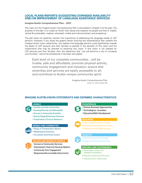#### **LOCAL PLANS/REPORTS SUGGESTING EXPANDED AVAILABILITY AND/OR IMPROVEMENT OF LANGUAGE ASSISTANCE SERVICES**

#### **Imagine Austin Comprehensive Plan – 2012**

The vision for the Imagine Austin Comprehensive Plan is articulated in Chapter 3 of the plan. The purpose of the plan is to create an Austin that values and respects its people and that is: livable; natural & sustainable; creative; educated; mobile and interconnected; and prosperous.

The plan does not explicitly mention the importance of addressing the language needs of LEP persons. However, if you study the graphic below showing the characteristics that underlie the Imagine Austin vision statements, one realizes that language barriers could significantly impede the ability of LEP persons and their families to partake in the benefits of this vision and the investments that may be directed to achieving this vision. If this vision is not realized for LEP persons and their families, then the statement that "we will become a city of complete communities" cannot be achieved as it has been articulated:

Each level of our complete communities…will be livable, safe and affordable; promote physical activity, community engagement and inclusion; ensure that amenities and services are easily accessible to all; and contribute to Austin unique community spirit.

> Imagine Austin Comprehensive Plan JUNE 15, 2012 (PAGE 88)

#### **IMAGINE AUSTIN VISION STATEMENTS AND DEFINING CHARACTERISTICS**



#### **LIVABLE**

- . Healthy and Safe Communities
- . Housing Diversity and Affordability
- . Access to Community Amenities
- . Quality Design/Distinctive Character
- Preservation of Crucial Resources

### **MOBILE AND CONNECTED**

- Range of Transportation Options
- Multimodal Connectivity
- Accessible Community Centers

#### **VALUES AND RESPECTS PEOPLE**

- Access to Community Services
- Employment, Food and Housing Options
- Community Civic Engagement
- Responsive/Accountable Government

#### **PROSPEROUS**

- · Diverse Business Opportunities • Technological Innovation
	- · Education/Skills Development

#### **EDUCATED**

- Learning Opportunities for All Ages
- Community Partnerships with Schools
- Relationships with Higher Learning

#### **CREATIVE**



• Vibrant Cultural Events Programs

### • Support for Arts/Cultural Activities

#### **NATURAL AND SUSTAINABLE**

- 
- Resource Conservation/Efficiency
- Extensive Green Infrastructure

• Sustainable, Compact and **Walkable Development**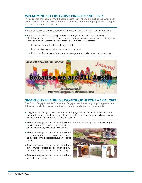#### **WELCOMING CITY INITIATIVE FINAL REPORT - 2015**

In this report, the issue of multi-lingual access is mentioned in just about every goal area. The following are two of the Top 10 priorities that were highlighted in the report that are relevant to this report:

- n Increase access to language-appropriate services including oral and written information;
- **-** Remove barriers or create new pathways for immigrants to access existing services. The following are a few themes that emerged through focus groups and stakeholder groups in the section on "Community Involvement & Community Engagement:"
	- Immigrants face difficulties getting involved;
	- Language is a barrier to immigrant involvement; and
	- Exclusion of immigrants from community engagement makes Austin less welcoming.
	-



#### **SMART CITY READINESS WORKSHOP REPORT – APRIL 2017**

The Public Engagement & Community Engagement breakout groups suggested the following modalities for presenting information and engaging community:

- **Example 3** Suggested technology modes for community engagement and information are kiosk and apps with kiosks being delivered in safe spaces in the community such as schools, libraries, cultural/community centers and places of worship.
- Modes of engagement and information should connect community members to emergency services, municipal services, social services and neighborhood/incident specific content.
- Modes of engagement and information should offer opportunity for participatory government
- (e.g., polls surveys, project/issue/plan specific input).
- Modes of engagement and information should cover multiple jurisdictions/geographies (city, county, state, schools, health. district, etc.)
- Modes of engagement and information should be multi-lingual in format.

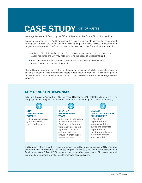## **CASE STUDY** CITY OF AUSTIN

Language Access Audit Report by the Office of the City Auditor for the City of Austin – 2016

In June of last year, the City Auditor published the results of an audit to assess: the management of language services; the effectiveness of existing language access policies, procedures and programs; and how Austin's efforts compare to those of peer cities. The audit report found that:

- while the City of Austin has made efforts to provide language assistance services to Austin residents, the City may not be meeting the needs of all residents; and
- most City departments that receive federal assistance have not completed a required language access assessment.

The audit report recommends that the City Manager or designee establish a stakeholder team to design a language access program that meets federal requirements and to designate a person or persons with authority to implement, monitor and periodically update the language access program.

#### **CITY OF AUSTIN RESPONSE:**

Following the Auditor's report, City Council passed Resolution 20161103-2016 related to the City's Language Access Program. The resolution directed the City Manager to ensure the following:



Building upon efforts already in place to improve the ability to provide access to City programs and information for residents with Limited English Proficiency (LEP), the Communications and Public Information Office (CPIO) partnered with other City departments, City leadership and community members to identify areas for improved service delivery.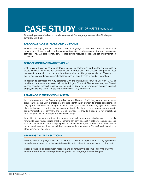## CASE STUDY CITY OF AUSTIN (continued)

**To develop a sustainable, citywide framework for language access, the City began several activities:**

#### **LANGUAGE ACCESS PLANS AND GUIDANCE**

Provided training, guidance documents and a language access plan template to all city departments. The plans will provide an organization-wide needs assessment of language access activities. They will also identify service gaps define resource needs, and set implementation milestones.

#### **SERVICE CONTRACTS AND TRAINING**

Staff evaluated existing service contracts across the organization and started the process to create citywide resources for translation and interpretation. The process incorporates best practices for translation procurement, including localization of language translations. The goal is to qualify multiple vendors across multiple languages for departments in need of translation.

In addition to contracts, the City partnered with the Multicultural Refugee Coalition (MRC) to provide a community interpreter training for bilingual City staff. The training program, Shared Voices, provided practical guidance on the kind of day-to-day interpretation services bilingual employees provide to the Limited English Proficient (LEP) community.

#### **LANGUAGE IDENTIFICATION SYSTEM**

In collaboration with the Community Advancement Network (CAN) language access working group partners, the City is creating a language identification system to create consistency in language access services throughout Austin. The system will include language identification placards that are customized for languages spoken in Austin and placed in areas where public contact/interaction is common. The tool is intended to provide a resource for interactions between people who don't speak the same language.

In addition to the language identification card, staff will develop an individual card, commonly referred to as an "iSpeak card," that LEP persons can carry to assist in obtaining language access through over-the-phone interpreting at points of contact with City departments. Staff will establish process and best practices that will be incorporated into training for City staff and shared with other community agencies.

#### **STAFFING AND TRANSLATIONS**

The City hired a Language Access Coordinator to consult with departments on language access procedures and plans, coordinate activities and identify critical documents in need of translation.

**These activities, coupled with research and community needs will allow the City to continue work to establish policies to guide the Language Access Program.**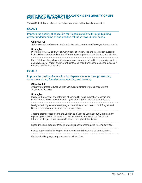#### **AUSTIN ISD TASK FORCE ON EDUCATION & THE QUALITY OF LIFE FOR HISPANIC STUDENTS - 2006**

**This AISD Task Force offered the following goals, objectives & strategies**

#### **GOAL 1**

Improve the quality of education for Hispanic students through building greater understanding of and positive attitudes toward their needs.

#### **Objective 1.1**

*Better connect and communicate with Hispanic parents and the Hispanic community.*

#### **Strategies**

Provide more AISD and City of Austin translation services and information available in Spanish to parents and community members at points of service and on websites.

Fund full-time bilingual parent liaisons at every campus trained in community relations and advocacy for parent and student rights, and hold them accountable for success in bringing parents into schools.

#### **GOAL 2**

Improve the quality of education for Hispanic students through ensuring access to a strong foundation for teaching and learning.

#### **Objective 2.2**

*Improve programs to bring English Language Learners to proficiency in both English and Spanish.*

#### **Strategies**

Increase the number and retention of certified bilingual education teachers and eliminate the use of non-certified bilingual education teachers in that program.

Realign the bilingual education program to maintain instruction in both English and Spanish through completion of elementary school.

Allocate greater resources to the English as a Second Language (ESL) program by replicating successful services such as the International Welcome Center and International High School in more locations throughout the district.

Expand the ESL program through providing peer mentoring and tutoring services.

Create opportunities for English learners and Spanish learners to learn together.

Explore dual language programs and consider pilots.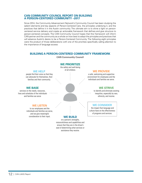#### **CAN COMMUNITY COUNCIL REPORT ON BUILDING A PERSON-CENTERED COMMUNITY –2017**

Since 2014, the Community Advancement Network's Community Council has been studying the salient elements and key aspects of Person-Centered Care, the principles underlying it, and the practices that define it in the Austin community. The ultimate aim is to shine a light on personcentered service delivery and create an actionable framework that defines and give structure to person-centered concepts. The CAN Community Council hopes that this framework will inform CAN partner and the community as a whole on how best to adopt the principles and practices that will advance Austin's desire to be a Person-Centered Community. The following eight principles were the product of those deliberations with one of the priorities specifically calling attention to the importance of language access:

#### **BUILDING A PERSON-CENTERED COMMUNITY FRAMEWORK CAN Community Council**

**WE PRIORITIZE**  the safety and well-being of all children. **WE PROVIDE WE CONSIDER** of programs and services. **WE HELP**  people find their voice so that they can advocate for themselves, their families and their community. **WE BASE**  services on the needs, resources, lives and schedules of the individuals and families we serve **WE LISTEN** to our employees and the individuals and families we serve, and we give meaningful

## **12** | CAN LAWG Report

#### **WE BUILD**  on a person's strengths,

resourcefulness and capabilities and ensure that they are in the driver's seat of determining what services or assistance they receive.

 the impact that language and culture have on the effectiveness

a safe, welcoming and supportive environment for employees and the individuals and families we serve.

#### **WE STRIVE**

to identify and eliminate existing inequities, especially by race, ethnicity, and income.

### consideration to their input.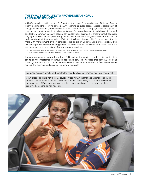#### **THE IMPACT OF FAILING TO PROVIDE MEANINGFUL LANGUAGE SERVICES**

A 2005 research report from the U.S. Department of Health & Human Services Office of Minority Health identified the following concerns with regard to language access: access to care; quality of care; patient satisfaction; and resource utilization. Without effective language assistance, patients may choose to go to fewer doctor visits, particularly for preventive care. An inability of clinical staff to effectively communicate with patients can lead to wrong diagnosis or prescriptions. If adequate language services are not provided, patients may leave the emergency room or hospital not understanding their treatments plans. Patients with chronic diseases, like Diabetes, may struggle more with management of their conditions due to lack of understanding of prescription drug use and appropriate self-monitoring procedures. Dissatisfaction with services in these healthcare settings may discourage patients from seeking out services.

Source: A Patient-Centered Guide to Implementing Language Access Services in Healthcare Organizations (2005), U.S. Department of Health and Human Services, Office of Minority Health

A recent guidance document from the U.S. Department of Justice provides guidance to state courts on the importance of language assistance services. Practices that deny LEP persons meaningful access to the courts can undermine the public trust that laws are fairly and equitably applied. The guidance outlines many important principals:

Language services should not be restricted based on types of proceedings: civil or criminal;

Court proceedings are not the only court services for which language assistance should be provided. If staff outside the courtroom are not able to effectively communicate with LEP persons, then LEP persons may not be able to understand court processes, complete paperwork, respond to inquiries, etc.

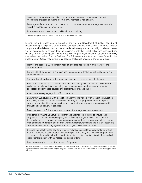Actual court proceedings should also address language needs of witnesses to avoid miscarriage of justice or putting a community member at risk of harm.

Language assistance should be provided at no cost to ensure that language assistance is available regardless of income status;

Interpreters should have proper qualifications and training.

Source: Language Access in State Courts (2016), U.S. Department of Justice

In 2015, the U.S. Department of Education and the U.S. Department of Justice issued joint guidance on legal obligations of state education agencies and local school districts to facilitate compliance with civil rights laws so that all students have equal access to a high quality education and an opportunity to achieve their full academic potential. Legal obligations discussed are not only for English Language Learners but also the parents/guardians of students who may, themselves, be Limited English Proficient. The following are the types of issues for which the Department of Justice may pursue legal action if challenges or barriers are found to exist:

Identify and assess ELL students in need of language assistance in a timely, valid, and reliable manner;

Provide ELL students with a language assistance program that is educationally sound and proven successful;

Sufficiently staff and support the language assistance programs for ELL students;

Ensure ELL students have equal opportunities to meaningfully participate in all curricular and extracurricular activities, including the core curriculum, graduation requirements, specialized and advanced courses and programs, sports, and clubs;

Avoid unnecessary segregation of ELL students;

Ensure that ELL students with disabilities under the Individuals with Disabilities Education Act (IDEA) or Section 504 are evaluated in a timely and appropriate manner for special education and disability-related services and that their language needs are considered in evaluations and delivery of services;

Meet the needs of ELL students who opt out of language assistance programs;

Monitor and evaluate ELL students in language assistance programs to ensure their progress with respect to acquiring English proficiency and grade level core content, exit ELL students from language assistance programs when they are proficient in English, and monitor exited students to ensure they were not prematurely exited and that any academic deficits incurred in the language assistance program have been remedied;

Evaluate the effectiveness of a school district's language assistance program(s) to ensure that ELL students in each program acquire English proficiency and that each program was reasonably calculated to allow ELL students to attain parity of participation in the standard instructional program within a reasonable period of time;

Ensure meaningful communication with LEP parents.

Source: Department of Education and Department of Justice Issue Joint Guidance on the Obligations of State Educational Agencies and School Districts to Serve English Language Learners, Pursuant to Title VI and the Equal Educational Opportunities Act (2015)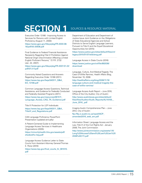# SECTION 1 SOURCES & RESOURCE MATERIAL

Executive Order 13166 - Improving Access to Services for Persons with Limited English Proficiency (August 11, 2000):

#### https://www.gpo.gov/fdsys/pkg/FR-2000-08- 16/pdf/00-20938.pdf

Final Guidance to Federal Financial Assistance

Recipients Regarding Title VI Prohibition Against National Origin Discrimination Affecting Limited English Proficient Persons," 72 F.R. 2732 (Jan. 22, 2007):

https://www.gpo.gov/fdsys/pkg/FR-2007-01-22/ pdf/07-217.pdf

Commonly Asked Questions and Answers Regarding Executive Order 13166 (2011): https://www.lep.gov/faqs/042511\_Q&A\_ EO\_13166.pdf

Common Language Access Questions, Technical

Assistance, and Guidance for Federally Conducted and Federally Assisted Programs (2011):

https://www.lep.gov/resources/081511\_ Language\_Access\_CAQ\_TA\_Guidance.pdf 

Title VI Protection for LEP Individuals:

https://www.lep.gov/fags/042511\_Q&A TitleVI\_and\_Regulations.pdf

CAN Language Proficiency PowerPoint Presentation (updated annually)

A Patient-Centered Guide to Implementing Language Access Services in Healthcare Organizations (2005):

https://minorityhealth.hhs.gov/assets/pdf/ checked/hc-lsig.pdf

Language Access Guidance Letter to State Courts from Assistant Attorney General Thomas E. Perez (2010):

https://www.lep.gov/final\_courts\_ltr\_081610. pdf 

Department of Education and Department of Justice Issue Joint Guidance on the Obligations of State Educational Agencies and School Districts to Serve English Language Learners, Pursuant to Title VI and the Equal Educational Opportunities Act (2015):

https://www.justice.gov/sites/default/files/crt/ legacy/2015/01/07/eldcleng.pdf

#### Language Access in State Courts (2016): https://www.justice.gov/crt/file/892036/

download

Language, Culture, And Medical Tragedy: The Case Of Willie Ramirez, Health Affairs Blog, November 19, 2008:

http://healthaffairs.org/blog/2008/11/19/ language-culture-and-medical-tragedy-thecase-of-willie-ramirez/

Language Access Audit Report – June 2016, Office of the City Auditor, City of Austin:

http://www.austintexas.gov/sites/default/ files/files/Auditor/Audit\_Reports/AU16105\_\_

June\_2016\_.pdf 

Imagine Austin Comprehensive Plan – June 2012, City of Austin:

ftp://ftp.ci.austin.tx.us/npzd/IACP\_ amended2016\_web\_sm.pdf

Information Sheet: Language Access and the Law, Title VI of the Civil Rights Act - January 2008, The Joint Commission

http://www.jointcommission.org/assets/1/6/ Lang%20Access%20and%20Law%20Jan%20 2008%20(17).pdf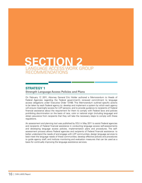## **SECTION 2** LANGUAGE ACCESS WORK GROUP RECOMMENDATIONS

### **STRATEGY 1**

#### **Strength Language Access Policies and Plans**

On February 17, 2011, Attorney General Eric Holder authored a Memorandum to Heads of Federal Agencies regarding the Federal government's renewed commitment to language access obligations under Executive Order 13166. This Memorandum outlined specific actions to be taken by each Federal agency to: develop and implement a system by which each agency will ensure meaningful access for LEP persons; and to provide guidance to recipients of Federal financial assistance about the requirement for them to comply with Federal laws and policies prohibiting discrimination on the basis of race, color or national origin (including language) and obtain assurance from recipients that they will take the necessary steps to comply with these regulations.

An assessment and planning tool was published by DOJ in May 2011 to assist Federal agencies and recipients of Federal financial assistance in conducting language access self-assessments and developing language access policies, implementation plans and procedures. The selfassessment process allows Federal agencies and recipients of Federal financial assistance: to better understand the needs of and engage with LEP communities; design language services to best meet the language needs of these communities; develop effective policies and procedures to guide agency staff; and institute monitoring and evaluation measures that can be used as a basis for continually improving the language assistance services.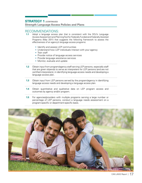#### **STRATEGY 1** *(CONTINUED)*

**Strength Language Access Policies and Plans** 

### RECOMMENDATIONS:<br>11 Adopt a language access

- **1.1** Adopt a language access plan that is consistent with the DOJ's Language Access Assessment and Planning Tool for Federally Funded and Federally Assisted Programs (May 2011) that suggests the following framework to assess the effectiveness of an agency's language access programs:
	- **EXECUTE:** Identify and assess LEP communities
	- **-** Understand how LEP individuals Interact with your agency
	- $\blacksquare$  Train staff
	- Provide notice of language access services
	- Provide language assistance services
	- Monitor, evaluate and update

**1.2** Obtain input from program/agency staff serving LEP persons, especially staff that are given stipends to serve as interpreters for LEP persons (and are not certified interpreters), in identifying language access needs and developing a language access plan. . . . . . . . . . . . . . . . . . .

- **1.3** Obtain input from LEP persons served by the program/agency in identifying language access needs and developing a language access plan. . . . . . . . . . . . . . .
- **1.4** Obtain quantitative and qualitative data on LEP program access and outcomes by agency and/or program.
- **1.5** For agencies/providers with multiple programs serving a large number or percentage of LEP persons, conduct a language needs assessment on a program-specific or department-specific basis.

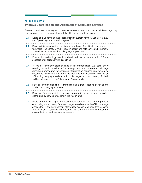#### **STRATEGY 2**

#### **Improve Coordination and Alignment of Language Services**

Develop coordinated campaigns to raise awareness of rights and responsibilities regarding language services and to more effectively link LEP persons with services.

| 2.1              | Establish a uniform language identification system for the Austin area (e.g.,<br>an "iSpeak" system or similar system)                                                                                                                                                                                                                                                                                                               |
|------------------|--------------------------------------------------------------------------------------------------------------------------------------------------------------------------------------------------------------------------------------------------------------------------------------------------------------------------------------------------------------------------------------------------------------------------------------|
| 2.2 <sub>2</sub> | Develop integrated online, mobile and site based (i.e., kiosks, tablets, etc.)<br>technology tools that are multi-lingual in design and help connect LEP persons<br>to services in a manner that is language appropriate.                                                                                                                                                                                                            |
| 2.3              | Ensure that technology solutions developed per recommendation 2.2 are<br>accessible for persons with disabilities.                                                                                                                                                                                                                                                                                                                   |
| 2.4              | To make technology tools outlined in recommendation 2.2, each entity<br>wanting to be included in a "technology hub" must create a web page<br>describing procedures for obtaining interpretation services and requesting<br>document translations and must develop and make publicly available an<br>"Obtaining Language Assistance from (My Agency)" form, a copy of which<br>will be included in the CAN Language Access Toolkit. |
| 2.5              | Develop uniform branding for materials and signage used to advertise the<br>availability of language services.                                                                                                                                                                                                                                                                                                                       |
| 2.6              | Develop a "know-your-rights" one-page information sheet that may be widely<br>distributed by service providers in the Austin area.                                                                                                                                                                                                                                                                                                   |
| 2.7              | Establish the CAN Language Access Implementation Team for the purpose<br>of advising and assisting CAN with on-going revisions to the CAN Language<br>Access Toolkit and development of language access resources for the Austin<br>Area, including resources referenced in this report and others as needed to<br>more effectively address language needs.                                                                          |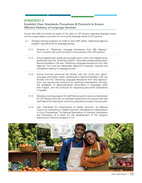#### **STRATEGY 3**

#### **Establish Clear Standards, Procedures & Protocols to Ensure Effective Delivery of Language Services**

Ensure that staff at all levels are aware of the rights of LEP persons regarding language access and the program/agency protocols for serving the language needs of LEP persons.

**3.1** Develop training programs for staff so that staff clearly understand agency/ program requirements for language access.

- **3.1.1** Develop an "Obtaining Language Assistance from (My Agency)" form to assist with communication of procedures with LEP persons.
- **3.1.2** Ensure department heads and all supervisors within their departments are familiar with the "Know Your Rights" information sheet (referenced in Recommendation 2.6) and "Obtaining Language Assistance from (My Agency)" form and can adequately respond to requests, inquiries and complaints relating to language access.
- **3.1.3** Ensure front-line personnel are familiar with the "know your rights" one-page information sheet (referenced in Recommendation 2.6), are familiar with the "Obtaining Language Assistance from (My Agency)" form, the step-by-step protocols for obtaining interpretation services, the availability of agency/program documents in languages other than English, and the protocols for requesting document translations if needed.
- **3.1.4** Develop a training program for staff that are paid to serve as interpreters for LEP persons (but are not certified interpreters) and require that said staff attend this training (or continuing education) at least once per year.
- **3.1.5** Use "Standards for Interpretation of Health Services" by National Council on interpreting in Health Care and "Standards for Interpretation in Court Proceedings" by National Association of Judiciary Interpreters and Translators as a basis for the development of the program referenced in Recommendation 3.1.4.

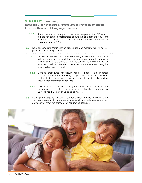#### **STRATEGY 3** *(CONTINUED)*

#### **Establish Clear Standards, Procedures & Protocols to Ensure Effective Delivery of Language Services**

| 3.1.6            | If staff that are paid a stipend to serve as interpreters for LEP persons<br>(but are not certified interpreters), ensure that said staff are required to<br>attend annual trainings on "Standards for Interpretation" (referenced in<br>Recommendation 3.1.5)                                                                         |
|------------------|----------------------------------------------------------------------------------------------------------------------------------------------------------------------------------------------------------------------------------------------------------------------------------------------------------------------------------------|
| $3.2^{\circ}$    | Develop adequate administration procedures and systems for linking LEP<br>persons with language services.                                                                                                                                                                                                                              |
| 3.2.1            | Develop a detailed protocol for scheduling appointments via a phone<br>call and an in-person visit that includes procedures for obtaining<br>interpretation for the phone call or in-person visit as well as procedures<br>for scheduling interpretation for the appointment that is set during that<br>phone call or in-person visit. |
| 3.2.2            | Develop procedures for documenting all phone calls, in-person<br>visits and appointments requiring interpretation services and develop a<br>system that ensures that LEP persons do not have to make multiple<br>requests for interpretation services.                                                                                 |
| 3.2.3            | Develop a system for documenting the outcomes of all appointments<br>that require the use of interpretation services that allows outcomes for<br>LEP and non-LEP individuals to be compared.                                                                                                                                           |
| 3.3 <sub>2</sub> | Develop language to include in contracts with vendors providing direct<br>services to community members so that vendors provide language access<br>services that meet the standards of contracting agencies.                                                                                                                           |

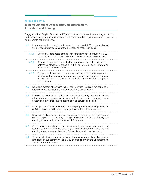#### **STRATEGY 4**

**Expand Language Access Through Engagement, Education and Training**

Engage Limited English Proficient (LEP) communities in better documenting economic and social needs and provide supports to LEP persons that expand economic opportunity and promote self-sufficiency.

| 4.1 |       | Notify the public, through mechanisms that will reach LEP communities, of<br>the services it provides and of the LEP policies that are in place.                                                                                  |
|-----|-------|-----------------------------------------------------------------------------------------------------------------------------------------------------------------------------------------------------------------------------------|
|     | 4.1.1 | Develop a coordinated strategy for conducting focus groups with LEP<br>communities to document needs and barriers to accessing services.                                                                                          |
|     | 4.1.2 | Assess literacy needs and technology utilization by LEP persons to<br>determine effective avenues by which to provide useful information<br>about public services to them.                                                        |
|     | 4.1.3 | Connect with families "where they are" via community events and<br>faith/cultural institutions to inform community members of language<br>access resources and to learn about the needs of these language<br>communities.         |
| 4.2 |       | Develop a system of outreach to LEP communities to explain the benefits of<br>attending specific meetings and encouraging them to attend.                                                                                         |
| 4.3 |       | Develop a system by which to accurately identify meetings where<br>interpretation is necessary to avoid situations where interpretation is<br>scheduled but no individuals needing service actually participate.                  |
| 4.4 |       | Develop a coordinated and comprehensive program for expanding availability<br>of Adult English as a Second Language training for LEP communities.                                                                                 |
| 4.5 |       | Develop certification and entrepreneurship programs for LEP persons in<br>order to expand the availability of language services for the community and<br>creating an economic opportunity for LEP persons.                        |
| 4.6 |       | Create online multi-lingual and multi-cultural educational resources as a<br>learning tool for families and as a way of learning about world cultures and<br>creating a welcoming environment for people from all over the world. |
| 4.7 |       | Consider identifying sister cities in countries with commonly spoken foreign<br>languages in our community as a way of engaging with and understanding<br>these LEP communities.                                                  |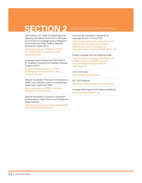## SECTION 2 SOURCES & RESOURCE MATERIAL

Memorandum for Heads of Federal Agencies regarding the Federal Government's Renewed Commitment to Language Access Obligations Under Executive Order 13166 by Attorney General Eric Holder (2011):

#### https://www.lep.gov/13166/AG\_021711\_ EO\_13166\_Memo\_to\_Agencies\_with\_ Supplement.pdf

Language Access Assessment Planning Tool for Federally Conducted and Federally Assisted Programs (2011):

https://www.lep.gov/resources/2011\_ Language\_Access\_Assessment\_and\_ Planning\_Tool.pdf

National Standards of Practice for Interpreters in Health Care, National Council on interpreting in Health Care, September 2005:

https://www.asli.com/NCIHC\_National\_ Standards\_of\_Practice.pdf

National Association of Judiciary Interpreters and Translators, Code of Ethics and Professional Responsibilities:

https://najit.org/wp-content/uploads/2016/09/ NAJITCodeofEthicsFINAL.pdf

American Bar Association, Standards for Language Access in Courts, 2012: https://www.americanbar.org/content/dam/ aba/administrative/legal\_aid\_indigent\_ defendants/ls\_sclaid\_standards\_for\_ language\_access\_proposal.authcheckdam.pdf 

Foreign Language Services Ordering Guide:

https://hallways.cap.gsa.gov/app/#/gateway/ professional-services/3383/languageservices-foreign-language-servicesordering-guide

CAN CCDI Toolkit:

. . . . . . . . . .

http://canatx.org/ccdi-toolkit/

ACC CCDI Website:

http://researchguides.austincc.edu/diversity

Canadian Multi-lingual Family Resource Website: http://www.welcomehere.ca/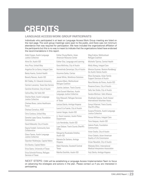## **CREDITS**

#### **LANGUAGE ACCESS WORK GROUP PARTICIPANTS**

Individuals who participated in at least on Language Access Work Group meeting are listed on the next page. The work group meetings were open to the public, and there was not minimum attendance that was required for participation. We have included the organizational affiliation of the participants but this is no way is meant to indicate that the organizations listed have endorsed the recommendations in this report.

Aidet Cooper, Austin Language Justice Collective Aline Orr, Austin ISD Amy Price, United Way Angelica De La Garza, Integral Care Becky Huerta, Central Health Beverly Reeves, Austin ISD Bill Clabby, St. Edwards University Carmen Luevanos, Texas Gas Service Caroline Kirschner, City of Austin Celina Bley, Del Valle ISD Charles Rand, Austin Language Justice Collective Chelsea Brass, Latino Healthcare Forum . . . . . . . . . . . . . . . . . . . . Chelsea Cornelius, AISD Chris Cordova, United Way Danette Lopez Garza, Foundation Communities David Matustik, City of Austin Dayna Fondell, Community Care Collaborative<br>............................ Diana Tavera, Austin Language Justice Collective Diponker Mukherjee, Capital Metro Eric Bustos, Capital Metro Erica Saenz, University of Texas Erica Schmidt-Portnoy, Refugee Services of Texas

Esther Chung Martin, Asian American Resource Center Esther Diaz, Language and Learning Gena McKinley, City of Austin Hermelinda Zamarripa, City of Austin Houmma Garba, Caritas Janeé White, Workforce Solutions Jessica Mann, Multicultural Refugee Coalition Juanita Jackson, Travis County Julia Duranti Martinez, Austin Language Justice Collective Katy Maxwell, Refugee Services of Texas Larissa Dávila, Amhiga Hispana Laura G La Fuente, City of Austin Leonor Vargas, Austin ISD<br>................................... Lt. Kevin Leverenz, Austin Police **Department** Luis Hernández, Austin ISD Lupe Salazar, Travis County Sheriff's Office Margarita Ruvalcaba Ordoñez, Austin ISD Mariela De Stefano, Amhiga Hispana Mark Hiemstra, Goodwill Central Texas Martha Doolittle, Austin ISD

Meg Erskine, Multicultural Refugee Coalition Michelle Tijerina, Central Health Molly Wang, Integral Care Monica Guzman, Restore Rundberg/ Go Austin-Vamos Austin Myra Dumapias, Asian Family Support Services of Austin Nora Montes de Flores, Austin ISD Roxanne Evans, City of Austin Sally Van Sickle, City of Austin Sandra Molinari, Safe Alliance Shubhada Saxena, South Asians' International Volunteer Assoc. Sonya Villarreal, Travis County Sheriff's Office Susana Pimiento, Austin Language Justice Collective Teresa Williams, Integral Care Tona Vasquez, Austin ISD Valerie Prado, Foundation **Communities** Victor Ovalle, City of Austin Vince Cobalis, Asian American Quality of Life Commission . . . . . . . Vivian Newdick, City of Austin Waleska Ghini, International Medical Interpreters Association Yuly Dávila, Amhiga Hispana

**NEXT STEPS:** CAN will be establishing a Language Access Implementation Team to focus on advancing the strategies and actions in the plan. Please contact us if you are interested in participating.